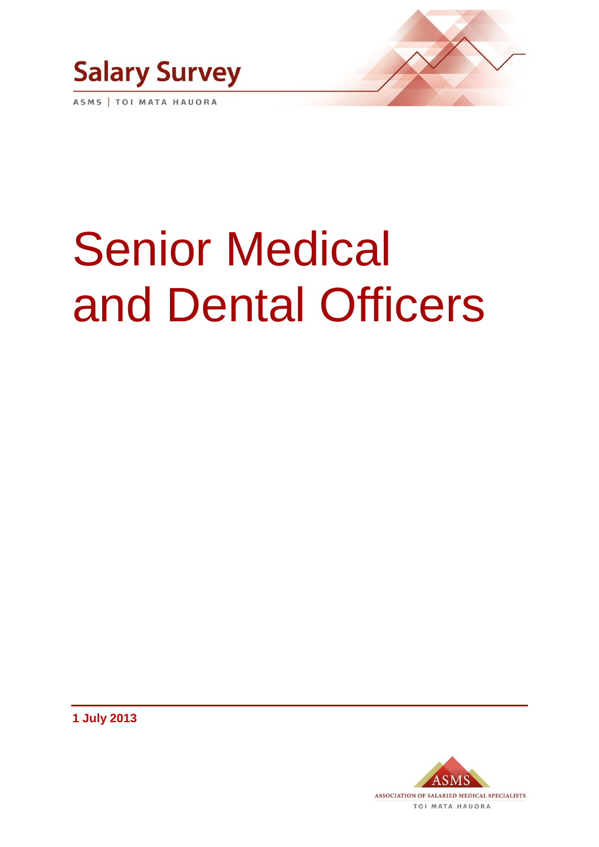

ASMS | TOI MATA HAUORA

# Senior Medical and Dental Officers

**1 July 2013**

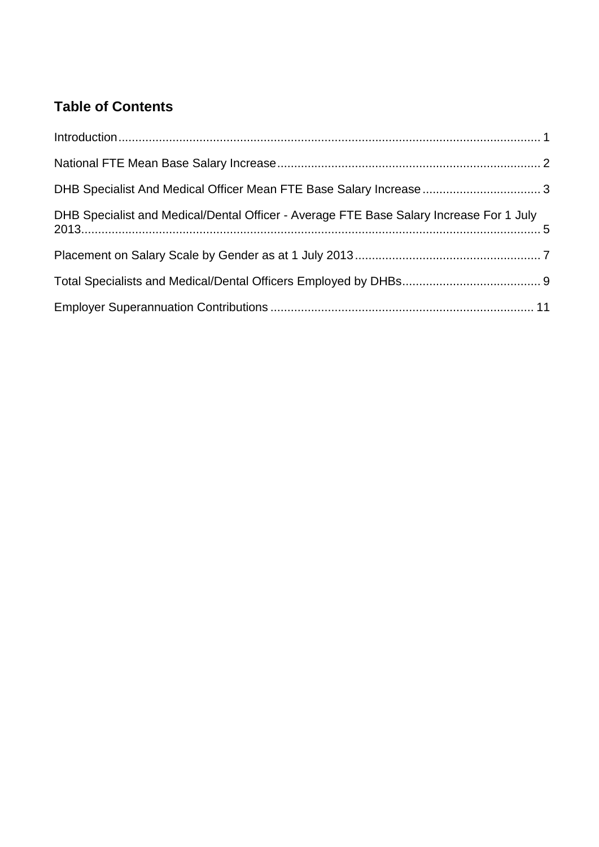# **Table of Contents**

| DHB Specialist and Medical/Dental Officer - Average FTE Base Salary Increase For 1 July |  |
|-----------------------------------------------------------------------------------------|--|
|                                                                                         |  |
|                                                                                         |  |
|                                                                                         |  |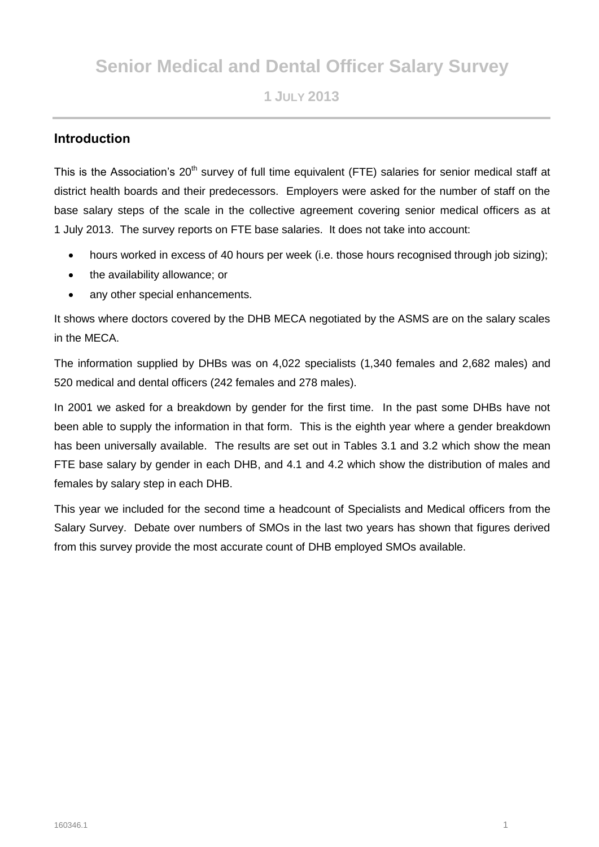# **Senior Medical and Dental Officer Salary Survey**

**1 JULY 2013**

# **Introduction**

This is the Association's 20<sup>th</sup> survey of full time equivalent (FTE) salaries for senior medical staff at district health boards and their predecessors. Employers were asked for the number of staff on the base salary steps of the scale in the collective agreement covering senior medical officers as at 1 July 2013. The survey reports on FTE base salaries. It does not take into account:

- hours worked in excess of 40 hours per week (i.e. those hours recognised through job sizing);
- the availability allowance; or
- any other special enhancements.

It shows where doctors covered by the DHB MECA negotiated by the ASMS are on the salary scales in the MECA.

The information supplied by DHBs was on 4,022 specialists (1,340 females and 2,682 males) and 520 medical and dental officers (242 females and 278 males).

In 2001 we asked for a breakdown by gender for the first time. In the past some DHBs have not been able to supply the information in that form. This is the eighth year where a gender breakdown has been universally available. The results are set out in Tables 3.1 and 3.2 which show the mean FTE base salary by gender in each DHB, and 4.1 and 4.2 which show the distribution of males and females by salary step in each DHB.

This year we included for the second time a headcount of Specialists and Medical officers from the Salary Survey. Debate over numbers of SMOs in the last two years has shown that figures derived from this survey provide the most accurate count of DHB employed SMOs available.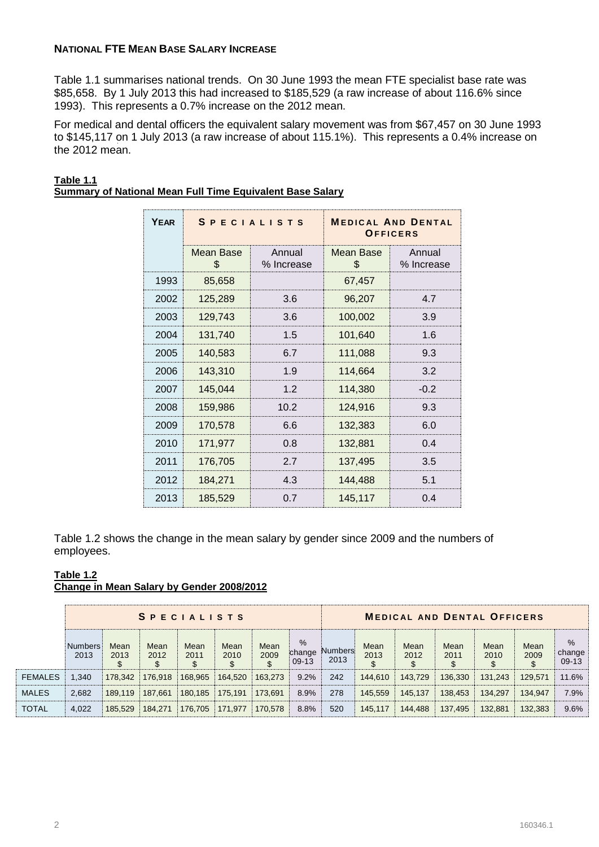## **NATIONAL FTE MEAN BASE SALARY INCREASE**

Table 1.1 summarises national trends. On 30 June 1993 the mean FTE specialist base rate was \$85,658. By 1 July 2013 this had increased to \$185,529 (a raw increase of about 116.6% since 1993). This represents a 0.7% increase on the 2012 mean.

For medical and dental officers the equivalent salary movement was from \$67,457 on 30 June 1993 to \$145,117 on 1 July 2013 (a raw increase of about 115.1%). This represents a 0.4% increase on the 2012 mean.

| <b>YEAR</b> |                 | <b>SPECIALISTS</b>   |                  | <b>MEDICAL AND DENTAL</b><br>OFFICERS |
|-------------|-----------------|----------------------|------------------|---------------------------------------|
|             | Mean Base<br>£. | Annual<br>% Increase | Mean Base<br>\$. | Annual<br>% Increase                  |
| 1993        | 85,658          |                      | 67,457           |                                       |
| 2002        | 125,289         | 3.6                  | 96,207           | 4.7                                   |
| 2003        | 129,743         | 3.6                  | 100,002          | 3.9                                   |
| 2004        | 131,740         | 1.5                  | 101,640          | 1.6                                   |
| 2005        | 140,583         | 6.7                  | 111,088          | 9.3                                   |
| 2006        | 143,310         | 1.9                  | 114,664          | 3.2                                   |
| 2007        | 145,044         | 1.2                  | 114,380          | $-0.2$                                |
| 2008        | 159,986         | 10.2                 | 124,916          | 9.3                                   |
| 2009        | 170,578         | 6.6                  | 132,383          | 6.0                                   |
| 2010        | 171,977         | 0.8                  | 132,881          | 0.4                                   |
| 2011        | 176,705         | 2.7                  | 137,495          | 3.5                                   |
| 2012        | 184,271         | 4.3                  | 144,488          | 5.1                                   |
| 2013        | 185,529         | 0.7                  | 145,117          | 0.4                                   |

#### **Table 1.1 Summary of National Mean Full Time Equivalent Base Salary**

Table 1.2 shows the change in the mean salary by gender since 2009 and the numbers of employees.

#### **Table 1.2 Change in Mean Salary by Gender 2008/2012**

|                |                        |              |              | <b>SPECIALISTS</b> |              |              |                           | <b>MEDICAL AND DENTAL OFFICERS</b> |                    |              |              |              |              |                        |
|----------------|------------------------|--------------|--------------|--------------------|--------------|--------------|---------------------------|------------------------------------|--------------------|--------------|--------------|--------------|--------------|------------------------|
|                | <b>Numbers</b><br>2013 | Mean<br>2013 | Mean<br>2012 | Mean<br>2011       | Mean<br>2010 | Mean<br>2009 | $\%$<br>change<br>$09-13$ | <b>Numbers</b><br>2013             | Mean<br>2013<br>\$ | Mean<br>2012 | Mean<br>2011 | Mean<br>2010 | Mean<br>2009 | %<br>change<br>$09-13$ |
| <b>FEMALES</b> | 1.340                  | 178.342      | 176.918      | 168.965            | 164.520      | 163.273      | 9.2%                      | 242                                | 144.610            | 143.729      | 136.330      | 131.243      | 129.571      | 11.6%                  |
| <b>MALES</b>   | 2.682                  | 189.119      | 187.661      | 180,185            | 175.191      | 173.691      | 8.9%                      | 278                                | 145.559            | 145.137      | 138,453      | 134.297      | 134.947      | 7.9%                   |
| TOTAL          | 4.022                  | 185.529      | 184.271      | 176,705            | 171.977      | 170,578      | 8.8%                      | 520                                | 145.117            | 144.488      | 137,495      | 132.881      | 132.383      | 9.6%                   |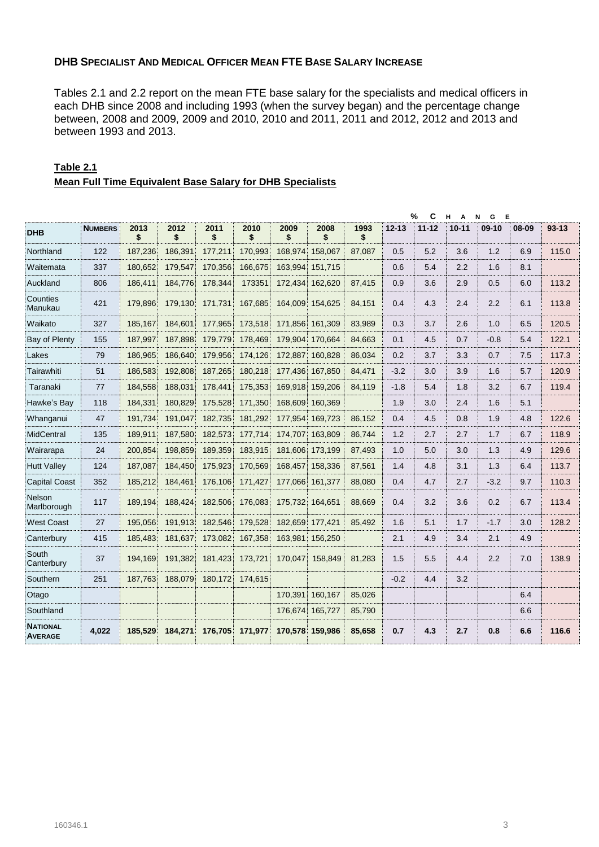## **DHB SPECIALIST AND MEDICAL OFFICER MEAN FTE BASE SALARY INCREASE**

Tables 2.1 and 2.2 report on the mean FTE base salary for the specialists and medical officers in each DHB since 2008 and including 1993 (when the survey began) and the percentage change between, 2008 and 2009, 2009 and 2010, 2010 and 2011, 2011 and 2012, 2012 and 2013 and between 1993 and 2013.

|                                   |                |            |            |            |            |            |                 |            |           | %<br>C    | н<br>A    | Е<br>N<br>G |       |           |
|-----------------------------------|----------------|------------|------------|------------|------------|------------|-----------------|------------|-----------|-----------|-----------|-------------|-------|-----------|
| <b>DHB</b>                        | <b>NUMBERS</b> | 2013<br>\$ | 2012<br>\$ | 2011<br>\$ | 2010<br>\$ | 2009<br>\$ | 2008<br>\$      | 1993<br>\$ | $12 - 13$ | $11 - 12$ | $10 - 11$ | $09-10$     | 08-09 | $93 - 13$ |
| Northland                         | 122            | 187,236    | 186,391    | 177.211    | 170,993    | 168.974    | 158,067         | 87,087     | 0.5       | 5.2       | 3.6       | 1.2         | 6.9   | 115.0     |
| Waitemata                         | 337            | 180.652    | 179,547    | 170,356    | 166,675    | 163,994    | 151,715         |            | 0.6       | 5.4       | 2.2       | 1.6         | 8.1   |           |
| Auckland                          | 806            | 186.411    | 184,776    | 178,344    | 173351     | 172,434    | 162,620         | 87,415     | 0.9       | 3.6       | 2.9       | 0.5         | 6.0   | 113.2     |
| Counties<br>Manukau               | 421            | 179.896    | 179.130    | 171.731    | 167,685    | 164.009    | 154,625         | 84,151     | 0.4       | 4.3       | 2.4       | 2.2         | 6.1   | 113.8     |
| Waikato                           | 327            | 185.167    | 184,601    | 177,965    | 173,518    | 171,856    | 161,309         | 83,989     | 0.3       | 3.7       | 2.6       | 1.0         | 6.5   | 120.5     |
| Bay of Plenty                     | 155            | 187,997    | 187,898    | 179,779    | 178,469    | 179,904    | 170,664         | 84,663     | 0.1       | 4.5       | 0.7       | $-0.8$      | 5.4   | 122.1     |
| Lakes                             | 79             | 186,965    | 186.640    | 179,956    | 174,126    | 172,887    | 160,828         | 86,034     | 0.2       | 3.7       | 3.3       | 0.7         | 7.5   | 117.3     |
| Tairawhiti                        | 51             | 186,583    | 192,808    | 187,265    | 180,218    | 177,436    | 167,850         | 84,471     | $-3.2$    | 3.0       | 3.9       | 1.6         | 5.7   | 120.9     |
| Taranaki                          | 77             | 184,558    | 188,031    | 178.441    | 175,353    | 169,918    | 159,206         | 84,119     | $-1.8$    | 5.4       | 1.8       | 3.2         | 6.7   | 119.4     |
| Hawke's Bay                       | 118            | 184,331    | 180.829    | 175,528    | 171,350    | 168,609    | 160.369         |            | 1.9       | 3.0       | 2.4       | 1.6         | 5.1   |           |
| Whanganui                         | 47             | 191.734    | 191.047    | 182.735    | 181,292    | 177.954    | 169.723         | 86,152     | 0.4       | 4.5       | 0.8       | 1.9         | 4.8   | 122.6     |
| <b>MidCentral</b>                 | 135            | 189.911    | 187,580    | 182.573    | 177,714    | 174.707    | 163.809         | 86.744     | 1.2       | 2.7       | 2.7       | 1.7         | 6.7   | 118.9     |
| Wairarapa                         | 24             | 200,854    | 198,859    | 189,359    | 183,915    | 181,606    | 173,199         | 87,493     | 1.0       | 5.0       | 3.0       | 1.3         | 4.9   | 129.6     |
| <b>Hutt Valley</b>                | 124            | 187,087    | 184,450    | 175,923    | 170,569    | 168,457    | 158,336         | 87,561     | 1.4       | 4.8       | 3.1       | 1.3         | 6.4   | 113.7     |
| <b>Capital Coast</b>              | 352            | 185,212    | 184,461    | 176,106    | 171,427    | 177,066    | 161,377         | 88,080     | 0.4       | 4.7       | 2.7       | $-3.2$      | 9.7   | 110.3     |
| Nelson<br>Marlborough             | 117            | 189.194    | 188.424    | 182,506    | 176,083    | 175,732    | 164.651         | 88.669     | 0.4       | 3.2       | 3.6       | 0.2         | 6.7   | 113.4     |
| <b>West Coast</b>                 | 27             | 195,056    | 191,913    | 182,546    | 179,528    | 182,659    | 177,421         | 85,492     | 1.6       | 5.1       | 1.7       | $-1.7$      | 3.0   | 128.2     |
| Canterbury                        | 415            | 185,483    | 181,637    | 173,082    | 167,358    | 163,981    | 156,250         |            | 2.1       | 4.9       | 3.4       | 2.1         | 4.9   |           |
| South<br>Canterbury               | 37             | 194.169    | 191,382    | 181,423    | 173,721    | 170.047    | 158,849         | 81,283     | 1.5       | 5.5       | 4.4       | 2.2         | 7.0   | 138.9     |
| Southern                          | 251            | 187,763    | 188,079    | 180,172    | 174,615    |            |                 |            | $-0.2$    | 4.4       | 3.2       |             |       |           |
| Otago                             |                |            |            |            |            | 170,391    | 160,167         | 85,026     |           |           |           |             | 6.4   |           |
| Southland                         |                |            |            |            |            | 176,674    | 165,727         | 85,790     |           |           |           |             | 6.6   |           |
| <b>NATIONAL</b><br><b>AVERAGE</b> | 4.022          | 185,529    | 184,271    | 176,705    | 171,977    |            | 170.578 159.986 | 85,658     | 0.7       | 4.3       | 2.7       | 0.8         | 6.6   | 116.6     |

#### **Table 2.1 Mean Full Time Equivalent Base Salary for DHB Specialists**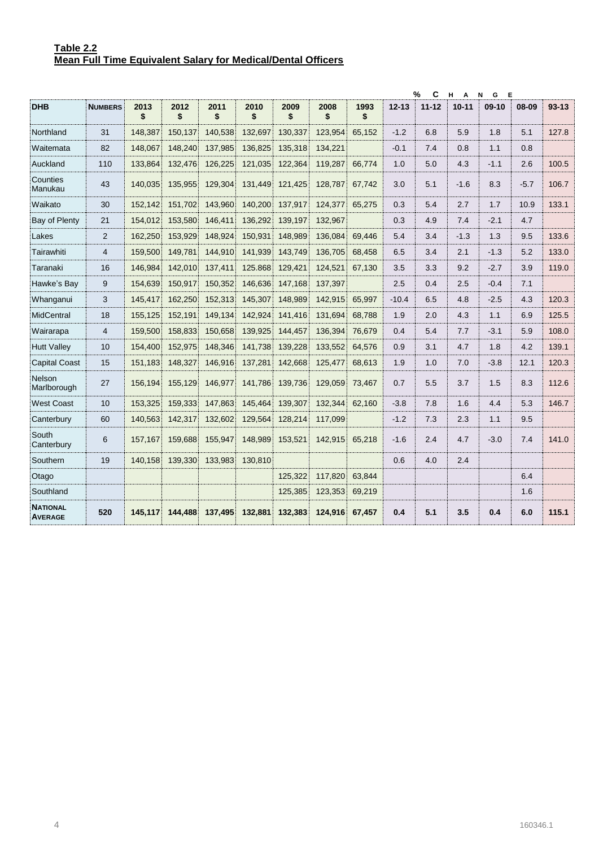|                                   |                |            |            |            |            |            |            |            |           | %<br>C    | н.<br>$\overline{A}$ | N<br>G<br>E |        |           |
|-----------------------------------|----------------|------------|------------|------------|------------|------------|------------|------------|-----------|-----------|----------------------|-------------|--------|-----------|
| <b>DHB</b>                        | <b>NUMBERS</b> | 2013<br>\$ | 2012<br>\$ | 2011<br>\$ | 2010<br>\$ | 2009<br>\$ | 2008<br>\$ | 1993<br>\$ | $12 - 13$ | $11 - 12$ | $10 - 11$            | $09-10$     | 08-09  | $93 - 13$ |
| Northland                         | 31             | 148.387    | 150.137    | 140.538    | 132.697    | 130.337    | 123.954    | 65,152     | $-1.2$    | 6.8       | 5.9                  | 1.8         | 5.1    | 127.8     |
| Waitemata                         | 82             | 148.067    | 148,240    | 137,985    | 136,825    | 135,318    | 134,221    |            | $-0.1$    | 7.4       | 0.8                  | 1.1         | 0.8    |           |
| Auckland                          | 110            | 133,864    | 132,476    | 126,225    | 121,035    | 122,364    | 119,287    | 66,774     | 1.0       | 5.0       | 4.3                  | $-1.1$      | 2.6    | 100.5     |
| Counties<br>Manukau               | 43             | 140,035    | 135,955    | 129,304    | 131,449    | 121,425    | 128,787    | 67,742     | 3.0       | 5.1       | $-1.6$               | 8.3         | $-5.7$ | 106.7     |
| Waikato                           | 30             | 152,142    | 151,702    | 143,960    | 140,200    | 137,917    | 124,377    | 65,275     | 0.3       | 5.4       | 2.7                  | 1.7         | 10.9   | 133.1     |
| Bay of Plenty                     | 21             | 154,012    | 153,580    | 146,411    | 136,292    | 139,197    | 132,967    |            | 0.3       | 4.9       | 7.4                  | $-2.1$      | 4.7    |           |
| Lakes                             | 2              | 162.250    | 153.929    | 148.924    | 150,931    | 148.989    | 136.084    | 69.446     | 5.4       | 3.4       | $-1.3$               | 1.3         | 9.5    | 133.6     |
| Tairawhiti                        | $\overline{4}$ | 159.500    | 149,781    | 144.910    | 141,939    | 143,749    | 136,705    | 68,458     | 6.5       | 3.4       | 2.1                  | $-1.3$      | 5.2    | 133.0     |
| Taranaki                          | 16             | 146.984    | 142,010    | 137,411    | 125.868    | 129,421    | 124,521    | 67,130     | 3.5       | 3.3       | 9.2                  | $-2.7$      | 3.9    | 119.0     |
| Hawke's Bav                       | 9              | 154.639    | 150.917    | 150.352    | 146.636    | 147.168    | 137,397    |            | 2.5       | 0.4       | 2.5                  | $-0.4$      | 7.1    |           |
| Whanganui                         | 3              | 145.417    | 162,250    | 152,313    | 145,307    | 148,989    | 142,915    | 65,997     | $-10.4$   | 6.5       | 4.8                  | $-2.5$      | 4.3    | 120.3     |
| <b>MidCentral</b>                 | 18             | 155,125    | 152,191    | 149,134    | 142,924    | 141,416    | 131,694    | 68,788     | 1.9       | 2.0       | 4.3                  | 1.1         | 6.9    | 125.5     |
| Wairarapa                         | $\overline{4}$ | 159.500    | 158,833    | 150.658    | 139,925    | 144,457    | 136,394    | 76,679     | 0.4       | 5.4       | 7.7                  | $-3.1$      | 5.9    | 108.0     |
| <b>Hutt Valley</b>                | 10             | 154,400    | 152,975    | 148,346    | 141,738    | 139,228    | 133,552    | 64,576     | 0.9       | 3.1       | 4.7                  | 1.8         | 4.2    | 139.1     |
| <b>Capital Coast</b>              | 15             | 151,183    | 148,327    | 146,916    | 137,281    | 142,668    | 125,477    | 68,613     | 1.9       | 1.0       | 7.0                  | $-3.8$      | 12.1   | 120.3     |
| <b>Nelson</b><br>Marlborough      | 27             | 156,194    | 155,129    | 146,977    | 141,786    | 139,736    | 129,059    | 73,467     | 0.7       | 5.5       | 3.7                  | 1.5         | 8.3    | 112.6     |
| <b>West Coast</b>                 | 10             | 153.325    | 159,333    | 147.863    | 145.464    | 139.307    | 132,344    | 62.160     | $-3.8$    | 7.8       | 1.6                  | 4.4         | 5.3    | 146.7     |
| Canterbury                        | 60             | 140.563    | 142.317    | 132.602    | 129.564    | 128,214    | 117,099    |            | $-1.2$    | 7.3       | 2.3                  | 1.1         | 9.5    |           |
| South<br>Canterbury               | 6              | 157,167    | 159,688    | 155,947    | 148,989    | 153,521    | 142,915    | 65,218     | $-1.6$    | 2.4       | 4.7                  | $-3.0$      | 7.4    | 141.0     |
| Southern                          | 19             | 140.158    | 139,330    | 133,983    | 130,810    |            |            |            | 0.6       | 4.0       | 2.4                  |             |        |           |
| Otago                             |                |            |            |            |            | 125,322    | 117,820    | 63,844     |           |           |                      |             | 6.4    |           |
| Southland                         |                |            |            |            |            | 125,385    | 123,353    | 69,219     |           |           |                      |             | 1.6    |           |
| <b>NATIONAL</b><br><b>AVERAGE</b> | 520            | 145.117    | 144,488    | 137,495    | 132,881    | 132,383    | 124,916    | 67,457     | 0.4       | 5.1       | 3.5                  | 0.4         | 6.0    | 115.1     |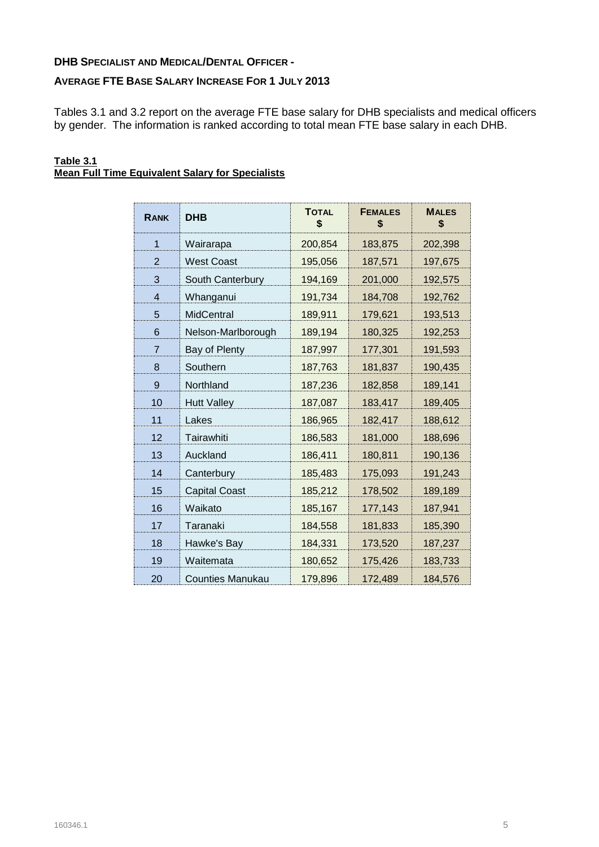## **DHB SPECIALIST AND MEDICAL/DENTAL OFFICER -**

## **AVERAGE FTE BASE SALARY INCREASE FOR 1 JULY 2013**

Tables 3.1 and 3.2 report on the average FTE base salary for DHB specialists and medical officers by gender. The information is ranked according to total mean FTE base salary in each DHB.

#### **Table 3.1 Mean Full Time Equivalent Salary for Specialists**

| <b>RANK</b>    | <b>DHB</b>           | <b>TOTAL</b><br>\$ | <b>FEMALES</b><br>\$ | <b>MALES</b><br>\$ |
|----------------|----------------------|--------------------|----------------------|--------------------|
| $\mathbf 1$    | Wairarapa            | 200,854            | 183,875              | 202,398            |
| $\overline{2}$ | <b>West Coast</b>    | 195,056            | 187,571              | 197,675            |
| 3              | South Canterbury     | 194,169            | 201,000              | 192,575            |
| $\overline{4}$ | Whanganui            | 191,734            | 184,708              | 192,762            |
| 5              | <b>MidCentral</b>    | 189,911            | 179,621              | 193,513            |
| 6              | Nelson-Marlborough   | 189,194            | 180,325              | 192,253            |
| 7              | Bay of Plenty        | 187,997            | 177,301              | 191,593            |
| 8              | Southern             | 187,763            | 181,837              | 190,435            |
| 9              | Northland            | 187,236            | 182,858              | 189,141            |
| 10             | <b>Hutt Valley</b>   | 187,087            | 183,417              | 189,405            |
| 11             | Lakes                | 186,965            | 182,417              | 188,612            |
| 12             | Tairawhiti           | 186,583            | 181,000              | 188,696            |
| 13             | Auckland             | 186,411            | 180,811              | 190,136            |
| 14             | Canterbury           | 185,483            | 175,093              | 191,243            |
| 15             | <b>Capital Coast</b> | 185,212            | 178,502              | 189,189            |
| 16             | Waikato              | 185,167            | 177,143              | 187,941            |
| 17             | Taranaki             | 184,558            | 181,833              | 185,390            |
| 18             | Hawke's Bay          | 184,331            | 173,520              | 187,237            |
| 19             | Waitemata            | 180,652            | 175,426              | 183,733            |
| 20             | Counties Manukau     | 179,896            | 172,489              | 184,576            |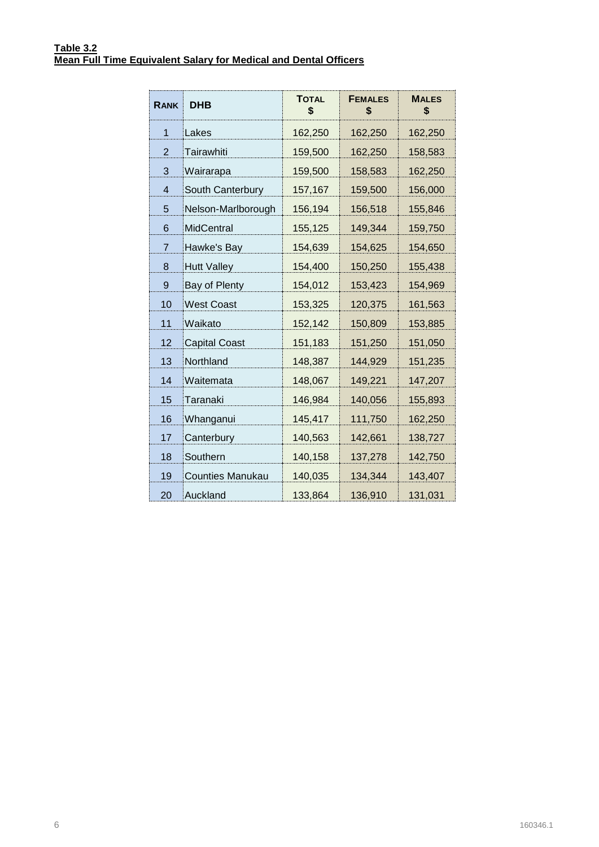| <b>RANK</b>    | <b>DHB</b>              | <b>TOTAL</b><br>\$ | <b>FEMALES</b><br>\$ | <b>MALES</b><br>\$ |
|----------------|-------------------------|--------------------|----------------------|--------------------|
| 1              | Lakes                   | 162,250            | 162,250              | 162,250            |
| 2              | Tairawhiti              | 159,500            | 162,250              | 158,583            |
| 3              | Wairarapa               | 159,500            | 158,583              | 162,250            |
| 4              | South Canterbury        | 157,167            | 159,500              | 156,000            |
| 5              | Nelson-Marlborough      | 156,194            | 156,518              | 155,846            |
| 6              | MidCentral              | 155,125            | 149,344              | 159,750            |
| $\overline{7}$ | Hawke's Bay             | 154,639            | 154,625              | 154,650            |
| 8              | <b>Hutt Valley</b>      | 154,400            | 150,250              | 155,438            |
| 9              | Bay of Plenty           | 154,012            | 153,423              | 154,969            |
| 10             | <b>West Coast</b>       | 153,325            | 120,375              | 161,563            |
| 11             | Waikato                 | 152,142            | 150,809              | 153,885            |
| 12             | <b>Capital Coast</b>    | 151,183            | 151,250              | 151,050            |
| 13             | Northland               | 148,387            | 144,929              | 151,235            |
| 14             | Waitemata               | 148,067            | 149,221              | 147,207            |
| 15             | Taranaki                | 146,984            | 140,056              | 155,893            |
| 16             | Whanganui               | 145,417            | 111,750              | 162,250            |
| 17             | Canterbury              | 140,563            | 142,661              | 138,727            |
| 18             | Southern                | 140,158            | 137,278              | 142,750            |
| 19             | <b>Counties Manukau</b> | 140,035            | 134,344              | 143,407            |
| 20             | Auckland                | 133,864            | 136,910              | 131,031            |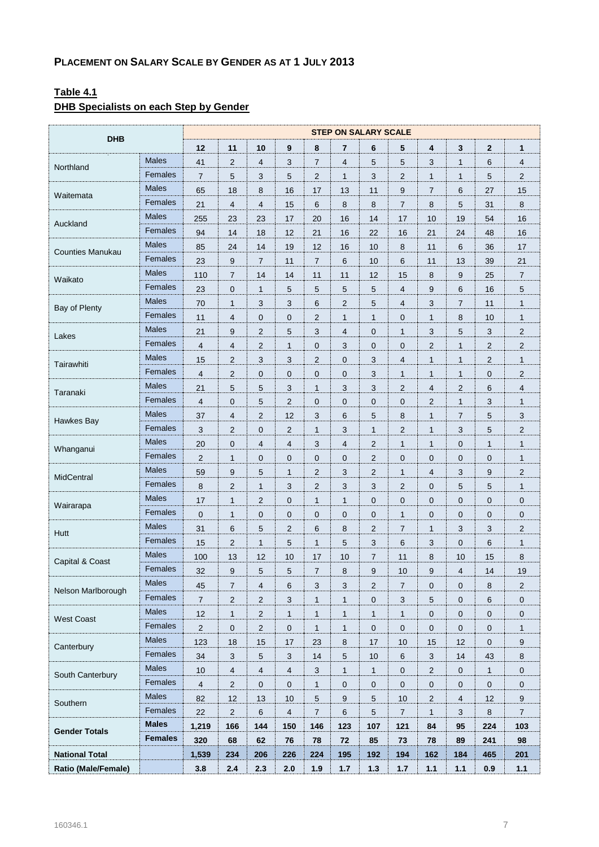# **Table 4.1**

# **DHB Specialists on each Step by Gender**

| <b>DHB</b>                 |                | <b>STEP ON SALARY SCALE</b> |                |                         |                         |                |                 |                     |                |                           |                           |                |                     |
|----------------------------|----------------|-----------------------------|----------------|-------------------------|-------------------------|----------------|-----------------|---------------------|----------------|---------------------------|---------------------------|----------------|---------------------|
|                            |                | 12                          | 11             | 10                      | 9                       | 8              | $\overline{7}$  | 6                   | 5              | $\overline{\mathbf{4}}$   | 3                         | $\overline{2}$ | 1                   |
| Northland                  | <b>Males</b>   | 41                          | $\overline{c}$ | 4                       | 3                       | $\overline{7}$ | 4               | 5                   | 5              | 3                         | 1                         | 6              | $\overline{4}$      |
|                            | Females        | $\overline{7}$              | 5              | 3                       | 5                       | 2              | $\mathbf{1}$    | 3                   | 2              | $\mathbf{1}$              | 1                         | 5              | $\overline{2}$      |
|                            | <b>Males</b>   | 65                          | 18             | 8                       | 16                      | 17             | 13              | 11                  | 9              | $\overline{7}$            | 6                         | 27             | 15                  |
| Waitemata                  | Females        | 21                          | 4              | 4                       | 15                      | 6              | 8               | 8                   | 7              | 8                         | 5                         | 31             | 8                   |
|                            | <b>Males</b>   | 255                         | 23             | 23                      | 17                      | 20             | 16              | 14                  | 17             | 10                        | 19                        | 54             | 16                  |
| Auckland                   | Females        | 94                          | 14             | 18                      | 12                      | 21             | 16              | 22                  | 16             | 21                        | 24                        | 48             | 16                  |
|                            | Males          | 85                          | 24             | 14                      | 19                      | 12             | 16              | 10                  | 8              | 11                        | 6                         | 36             | 17                  |
| <b>Counties Manukau</b>    | Females        | 23                          | 9              | $\sqrt{7}$              | 11                      | $\overline{7}$ | $6\phantom{1}6$ | 10                  | 6              | 11                        | 13                        | 39             | 21                  |
|                            | <b>Males</b>   | 110                         | $\overline{7}$ | 14                      | 14                      | 11             | 11              | 12                  | 15             | 8                         | 9                         | 25             | $\overline{7}$      |
| Waikato                    | Females        | 23                          | 0              | $\mathbf{1}$            | 5                       | 5              | 5               | 5                   | 4              | 9                         | 6                         | 16             | 5                   |
|                            | <b>Males</b>   | 70                          | $\mathbf{1}$   | 3                       | 3                       | 6              | $\overline{2}$  | 5                   | 4              | 3                         | 7                         | 11             | $\mathbf{1}$        |
| Bay of Plenty              | Females        | 11                          | 4              | $\pmb{0}$               | $\mathbf 0$             | $\overline{2}$ | $\mathbf{1}$    | $\mathbf{1}$        | 0              | $\mathbf{1}$              | 8                         | 10             | $\mathbf{1}$        |
|                            | Males          | 21                          | 9              | $\overline{c}$          | 5                       | 3              | 4               | $\mathbf 0$         | 1              | 3                         | 5                         | 3              | 2                   |
| Lakes                      | Females        | $\overline{4}$              | 4              | $\overline{c}$          | $\mathbf{1}$            | 0              | 3               | $\mathbf 0$         | 0              | $\overline{2}$            | $\mathbf{1}$              | 2              | $\overline{2}$      |
|                            | <b>Males</b>   | 15                          | $\overline{2}$ | 3                       | 3                       | $\overline{2}$ | $\mathbf 0$     | 3                   | 4              | $\mathbf{1}$              | $\mathbf{1}$              | 2              | $\mathbf{1}$        |
| Tairawhiti                 | Females        | 4                           | 2              | 0                       | 0                       | 0              | $\mathbf{0}$    | 3                   | 1              | $\mathbf{1}$              | 1                         | $\mathbf 0$    | $\overline{c}$      |
|                            | <b>Males</b>   | 21                          | 5              | 5                       | 3                       | 1              | 3               | 3                   | 2              | 4                         | $\overline{c}$            | 6              | 4                   |
| Taranaki                   | Females        | $\overline{4}$              | 0              | 5                       | $\overline{2}$          | $\mathbf{0}$   | $\mathbf 0$     | $\mathbf 0$         | 0              | $\overline{c}$            | $\mathbf{1}$              | 3              | $\mathbf{1}$        |
|                            | <b>Males</b>   | 37                          | $\overline{4}$ | $\overline{c}$          | 12                      | 3              | 6               | 5                   | 8              | $\mathbf{1}$              | 7                         | 5              | 3                   |
| Hawkes Bay                 | Females        | 3                           | $\overline{2}$ | 0                       | $\overline{c}$          | 1              | 3               | $\mathbf{1}$        | 2              | $\mathbf{1}$              | 3                         | 5              | $\overline{2}$      |
|                            | <b>Males</b>   | 20                          | 0              | 4                       | $\overline{4}$          | 3              | $\overline{4}$  | $\overline{2}$      | $\mathbf{1}$   | $\mathbf{1}$              | $\mathbf 0$               | $\mathbf{1}$   | $\mathbf{1}$        |
| Whanganui                  | Females        | $\overline{2}$              | $\mathbf{1}$   | 0                       | 0                       | 0              | $\mathbf{0}$    | $\overline{2}$      | 0              | 0                         | 0                         | $\mathbf 0$    | $\mathbf{1}$        |
|                            | <b>Males</b>   | 59                          | 9              | 5                       | $\mathbf{1}$            | 2              | 3               | $\overline{c}$      | 1              | 4                         | 3                         | 9              | $\overline{c}$      |
| MidCentral                 | Females        | 8                           | $\overline{2}$ | $\mathbf{1}$            | 3                       | $\overline{2}$ | 3               | 3                   | $\overline{2}$ | $\pmb{0}$                 | 5                         | 5              | $\mathbf{1}$        |
|                            | <b>Males</b>   | 17                          | $\mathbf{1}$   | $\overline{2}$          | 0                       | 1              | $\mathbf{1}$    | $\mathbf 0$         | 0              | 0                         | 0                         | $\mathbf 0$    | $\mathbf 0$         |
| Wairarapa                  | Females        | $\overline{0}$              | $\mathbf{1}$   | 0                       | $\mathbf 0$             | 0              | $\mathbf{0}$    | $\mathbf 0$         | $\mathbf{1}$   | $\mathbf 0$               | 0                         | $\mathbf{0}$   | 0                   |
|                            | <b>Males</b>   | 31                          | 6              | 5                       | $\overline{2}$          | 6              | 8               | $\overline{2}$      | $\overline{7}$ | $\mathbf{1}$              | 3                         | 3              | $\overline{c}$      |
| Hutt                       | Females        | 15                          | 2              | $\mathbf{1}$            | 5                       | 1              | 5               | 3                   | 6              | 3                         | 0                         | 6              | $\mathbf{1}$        |
|                            | <b>Males</b>   | 100                         | 13             | 12                      | 10                      | 17             | 10              | $\overline{7}$      | 11             | 8                         | 10                        | 15             | 8                   |
| Capital & Coast            | Females        | 32                          | 9              | 5                       | 5                       | 7              | 8               | 9                   | 10             | 9                         | 4                         | 14             | 19                  |
|                            | <b>Males</b>   | 45                          | $\overline{7}$ | 4                       | 6                       | 3              | 3               | $\overline{2}$      | 7              | $\mathbf 0$               | 0                         | 8              | $\overline{c}$      |
| Nelson Marlborough         | Females        | $\overline{7}$              | $\sqrt{2}$     | $\overline{c}$          | 3                       | $\mathbf{1}$   | $\mathbf{1}$    | $\mathbf 0$         | 3              | $\sqrt{5}$                | 0                         | 6              | $\pmb{0}$           |
|                            | <b>Males</b>   | 12                          | 1              | $\overline{\mathbf{c}}$ | $\mathbf{1}$            | 1              | 1               | $\mathbf{1}$        | 1              | $\pmb{0}$                 | 0                         | $\mathbf 0$    | $\mathbf 0$         |
| <b>West Coast</b>          | Females        | $\overline{2}$              | $\pmb{0}$      | 2                       | $\pmb{0}$               | $\mathbf{1}$   | $\mathbf{1}$    | $\mathsf{O}\xspace$ | 0              | $\pmb{0}$                 | 0                         | $\mathbf 0$    | $\mathbf{1}$        |
|                            | <b>Males</b>   | 123                         | 18             | 15                      | 17                      | 23             | 8               | 17                  | 10             | 15                        | 12                        | $\mathbf 0$    | 9                   |
| Canterbury                 | Females        | 34                          | $\sqrt{3}$     | 5                       | 3                       | 14             | $\sqrt{5}$      | 10                  | 6              | $\ensuremath{\mathsf{3}}$ | 14                        | 43             | 8                   |
|                            | <b>Males</b>   | 10                          | $\overline{4}$ | $\overline{4}$          | $\overline{4}$          | 3              | $\mathbf{1}$    | $\mathbf{1}$        | $\pmb{0}$      | $\sqrt{2}$                | 0                         | $\mathbf{1}$   | $\mathsf{O}\xspace$ |
| South Canterbury           | Females        | $\overline{4}$              | $\sqrt{2}$     | 0                       | $\pmb{0}$               | $\mathbf{1}$   | 0               | $\mathbf 0$         | 0              | $\pmb{0}$                 | 0                         | $\mathbf 0$    | $\pmb{0}$           |
|                            | <b>Males</b>   | 82                          | 12             | 13                      | 10                      | 5              | 9               | 5                   | 10             | $\sqrt{2}$                | 4                         | 12             | 9                   |
| Southern                   | Females        | 22                          | $\sqrt{2}$     | 6                       | $\overline{\mathbf{4}}$ | $\overline{7}$ | $\,6$           | 5                   | $\overline{7}$ | $\mathbf{1}$              | $\ensuremath{\mathsf{3}}$ | $\bf 8$        | $\overline{7}$      |
|                            | <b>Males</b>   | 1,219                       | 166            | 144                     | 150                     | 146            | 123             | 107                 | 121            | 84                        | 95                        | 224            | 103                 |
| <b>Gender Totals</b>       | <b>Females</b> | 320                         | 68             | 62                      | 76                      | 78             | 72              | 85                  | 73             | 78                        | 89                        | 241            | 98                  |
|                            |                |                             |                |                         |                         | 224            |                 |                     |                |                           |                           | 465            |                     |
| <b>National Total</b>      |                | 1,539                       | 234            | 206                     | 226                     |                | 195             | 192                 | 194            | 162                       | 184                       |                | 201                 |
| <b>Ratio (Male/Female)</b> |                | 3.8                         | $2.4$          | 2.3                     | 2.0                     | 1.9            | $1.7$           | $1.3$               | $1.7$          | $1.1$                     | $1.1$                     | 0.9            | $1.1$               |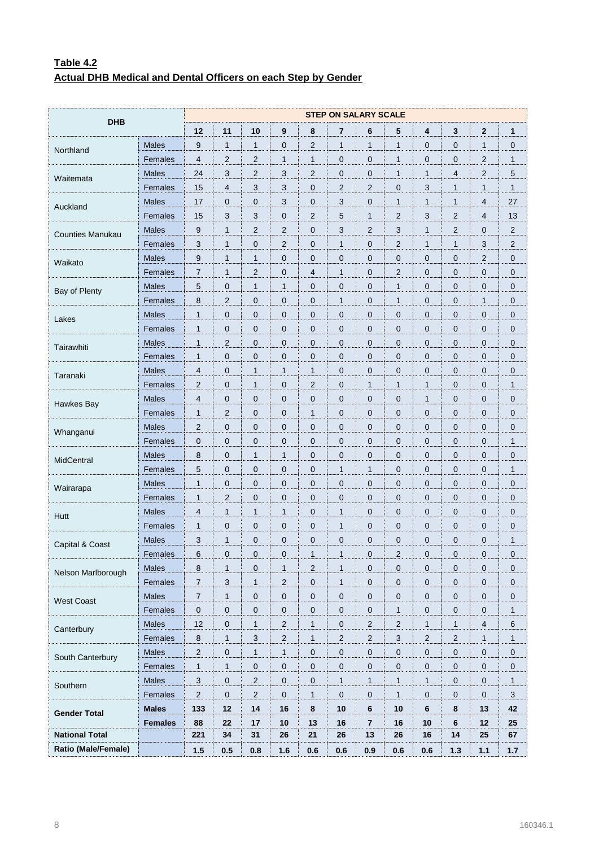# **Table 4.2 Actual DHB Medical and Dental Officers on each Step by Gender**

| <b>DHB</b>              |                |                  | <b>STEP ON SALARY SCALE</b> |                           |                     |                |                |                |                |                |                |                         |                 |  |
|-------------------------|----------------|------------------|-----------------------------|---------------------------|---------------------|----------------|----------------|----------------|----------------|----------------|----------------|-------------------------|-----------------|--|
|                         |                | 12               | 11                          | 10                        | 9                   | 8              | 7              | 6              | 5              | 4              | 3              | $\overline{\mathbf{2}}$ | 1               |  |
| Northland               | <b>Males</b>   | 9                | $\mathbf{1}$                | $\mathbf{1}$              | $\mathbf 0$         | $\overline{2}$ | $\mathbf{1}$   | $\mathbf{1}$   | $\mathbf{1}$   | 0              | 0              | 1                       | $\mathbf 0$     |  |
|                         | Females        | 4                | 2                           | 2                         | $\mathbf{1}$        | $\mathbf{1}$   | 0              | 0              | $\mathbf{1}$   | $\mathbf{0}$   | $\mathbf 0$    | 2                       | 1               |  |
| Waitemata               | <b>Males</b>   | 24               | 3                           | $\overline{2}$            | $\sqrt{3}$          | $\overline{2}$ | 0              | 0              | $\mathbf{1}$   | $\mathbf{1}$   | $\overline{4}$ | 2                       | 5               |  |
|                         | Females        | 15               | 4                           | 3                         | 3                   | $\mathbf 0$    | $\overline{2}$ | $\overline{2}$ | $\mathbf 0$    | 3              | $\mathbf{1}$   | 1                       | 1               |  |
| Auckland                | <b>Males</b>   | 17               | 0                           | 0                         | 3                   | $\mathbf{0}$   | 3              | 0              | $\mathbf{1}$   | $\mathbf{1}$   | 1              | 4                       | 27              |  |
|                         | Females        | 15               | 3                           | 3                         | $\pmb{0}$           | $\overline{2}$ | 5              | 1              | 2              | 3              | $\overline{2}$ | 4                       | 13              |  |
| <b>Counties Manukau</b> | <b>Males</b>   | 9                | 1                           | $\overline{2}$            | $\sqrt{2}$          | $\mathbf 0$    | 3              | $\overline{2}$ | 3              | $\mathbf{1}$   | $\overline{2}$ | 0                       | $\mathbf 2$     |  |
|                         | Females        | 3                | 1                           | $\mathbf 0$               | $\overline{2}$      | $\mathbf{0}$   | $\mathbf{1}$   | 0              | $\overline{2}$ | $\mathbf{1}$   | $\mathbf{1}$   | 3                       | 2               |  |
| Waikato                 | <b>Males</b>   | 9                | 1                           | 1                         | $\mathbf 0$         | 0              | $\mathbf 0$    | 0              | $\mathbf 0$    | 0              | 0              | $\overline{2}$          | $\mathbf 0$     |  |
|                         | Females        | $\overline{7}$   | 1                           | $\overline{2}$            | $\mathbf 0$         | $\overline{4}$ | 1              | 0              | 2              | 0              | 0              | 0                       | $\mathbf 0$     |  |
| Bay of Plenty           | <b>Males</b>   | 5                | 0                           | 1                         | $\mathbf{1}$        | $\mathbf{0}$   | $\overline{0}$ | 0              | $\mathbf{1}$   | $\mathbf 0$    | $\mathbf 0$    | 0                       | $\mathbf 0$     |  |
|                         | Females        | 8                | $\overline{2}$              | 0                         | $\mathbf 0$         | 0              | $\mathbf{1}$   | 0              | $\mathbf{1}$   | 0              | 0              | 1                       | $\mathbf 0$     |  |
| Lakes                   | <b>Males</b>   | $\mathbf{1}$     | 0                           | $\pmb{0}$                 | $\mathbf 0$         | 0              | 0              | 0              | $\mathbf 0$    | 0              | 0              | 0                       | $\mathbf 0$     |  |
|                         | Females        | $\mathbf{1}$     | 0                           | $\mathbf 0$               | $\mathbf 0$         | $\mathbf{0}$   | $\overline{0}$ | 0              | $\mathbf 0$    | $\mathbf 0$    | $\mathbf 0$    | 0                       | $\mathbf 0$     |  |
| Tairawhiti              | <b>Males</b>   | $\mathbf{1}$     | $\overline{2}$              | 0                         | $\mathbf 0$         | 0              | 0              | 0              | $\mathbf 0$    | 0              | 0              | 0                       | $\mathbf 0$     |  |
|                         | Females        | $\mathbf{1}$     | 0                           | $\mathbf 0$               | $\mathbf 0$         | $\mathbf 0$    | 0              | 0              | $\mathbf 0$    | 0              | 0              | 0                       | $\mathbf 0$     |  |
| Taranaki                | <b>Males</b>   | 4                | 0                           | 1                         | $\mathbf{1}$        | $\mathbf{1}$   | $\overline{0}$ | 0              | $\mathbf 0$    | $\mathbf 0$    | $\mathbf 0$    | 0                       | $\mathbf 0$     |  |
|                         | Females        | $\overline{2}$   | 0                           | $\mathbf{1}$              | 0                   | $\overline{2}$ | 0              | $\mathbf{1}$   | $\mathbf{1}$   | $\mathbf{1}$   | 0              | 0                       | $\mathbf{1}$    |  |
| Hawkes Bay              | <b>Males</b>   | 4                | 0                           | $\mathbf 0$               | $\mathbf 0$         | 0              | 0              | 0              | $\mathbf 0$    | $\mathbf{1}$   | 0              | 0                       | $\mathbf 0$     |  |
|                         | Females        | $\mathbf{1}$     | 2                           | $\mathbf 0$               | $\mathbf 0$         | $\mathbf{1}$   | $\overline{0}$ | 0              | $\mathbf 0$    | $\mathbf 0$    | $\mathbf 0$    | 0                       | $\mathbf 0$     |  |
| Whanganui               | <b>Males</b>   | $\overline{2}$   | 0                           | 0                         | $\mathbf 0$         | 0              | $\mathbf 0$    | 0              | $\mathbf 0$    | 0              | 0              | 0                       | $\mathbf 0$     |  |
|                         | Females        | $\mathbf 0$      | 0                           | $\mathbf 0$               | $\mathbf 0$         | $\mathbf 0$    | 0              | 0              | $\mathbf 0$    | $\mathbf 0$    | 0              | 0                       | $\mathbf{1}$    |  |
| MidCentral              | <b>Males</b>   | 8                | 0                           | 1                         | $\mathbf{1}$        | $\mathbf{0}$   | $\overline{0}$ | 0              | $\mathbf 0$    | $\mathbf 0$    | $\mathbf 0$    | 0                       | $\mathbf 0$     |  |
|                         | Females        | 5                | 0                           | 0                         | 0                   | 0              | $\mathbf{1}$   | $\mathbf{1}$   | $\mathbf 0$    | 0              | 0              | 0                       | $\mathbf{1}$    |  |
| Wairarapa               | <b>Males</b>   | $\mathbf{1}$     | 0                           | $\mathbf 0$               | $\mathbf 0$         | 0              | 0              | 0              | $\mathbf 0$    | 0              | $\mathbf 0$    | 0                       | $\mathbf 0$     |  |
|                         | Females        | $\mathbf{1}$     | 2                           | $\mathbf 0$               | $\mathbf 0$         | $\mathbf{0}$   | $\overline{0}$ | 0              | $\mathbf 0$    | $\mathbf 0$    | $\mathbf 0$    | 0                       | $\mathbf 0$     |  |
| Hutt                    | <b>Males</b>   | $\overline{4}$   | $\mathbf{1}$                | $\mathbf{1}$              | $\mathbf{1}$        | $\mathbf 0$    | $\mathbf{1}$   | 0              | $\mathbf 0$    | 0              | 0              | 0                       | $\mathbf 0$     |  |
|                         | Females        | $\mathbf{1}$     | 0                           | $\mathbf 0$               | $\mathbf 0$         | 0              | 1              | 0              | $\mathbf 0$    | 0              | 0              | 0                       | $\mathbf 0$     |  |
| Capital & Coast         | <b>Males</b>   | 3                | $\mathbf{1}$                | 0                         | $\overline{0}$      | $\mathbf{0}$   | $\overline{0}$ | 0              | $\mathbf 0$    | $\mathbf{0}$   | $\mathbf 0$    | 0                       | 1               |  |
|                         | Females        | 6                | 0                           | 0                         | $\mathbf 0$         | $\mathbf{1}$   | 1              | $\overline{0}$ | $\overline{c}$ | $\mathbf 0$    | 0              | 0                       | $\pmb{0}$       |  |
| Nelson Marlborough      | Males          | 8                | 1                           | $\pmb{0}$                 | $\mathbf{1}$        | $\overline{2}$ | $\mathbf{1}$   | 0              | $\mathbf 0$    | 0              | 0              | 0                       | $\mathbf 0$     |  |
|                         | Females        | $\boldsymbol{7}$ | 3                           | $\mathbf{1}$              | $\sqrt{2}$          | $\mathbf 0$    | $\mathbf{1}$   | 0              | $\mathbf 0$    | 0              | 0              | 0                       | $\mathbf 0$     |  |
| West Coast              | Males          | $\boldsymbol{7}$ | $\mathbf{1}$                | $\pmb{0}$                 | $\pmb{0}$           | $\pmb{0}$      | 0              | $\pmb{0}$      | $\pmb{0}$      | $\pmb{0}$      | $\pmb{0}$      | $\pmb{0}$               | $\pmb{0}$       |  |
|                         | Females        | $\pmb{0}$        | $\pmb{0}$                   | $\mathbf 0$               | $\pmb{0}$           | 0              | 0              | 0              | $\mathbf{1}$   | $\pmb{0}$      | 0              | $\pmb{0}$               | $\mathbf{1}$    |  |
| Canterbury              | Males          | 12               | 0                           | $\mathbf{1}$              | $\overline{2}$      | $\mathbf{1}$   | 0              | 2              | $\overline{2}$ | $\mathbf{1}$   | $\mathbf{1}$   | 4                       | $6\phantom{1}6$ |  |
|                         | Females        | $\bf 8$          | $\mathbf{1}$                | $\ensuremath{\mathsf{3}}$ | $\sqrt{2}$          | $\mathbf{1}$   | $\overline{c}$ | $\mathbf 2$    | $\mathbf{3}$   | $\overline{c}$ | $\overline{c}$ | $\mathbf{1}$            | $\mathbf{1}$    |  |
| South Canterbury        | Males          | $\overline{c}$   | 0                           | $\mathbf{1}$              | $\mathbf{1}$        | 0              | 0              | 0              | $\pmb{0}$      | $\pmb{0}$      | 0              | 0                       | $\mathbf 0$     |  |
|                         | Females        | $\mathbf{1}$     | 1                           | $\pmb{0}$                 | $\mathbf 0$         | $\mathbf 0$    | 0              | 0              | $\mathbf 0$    | 0              | 0              | 0                       | $\mathbf 0$     |  |
| Southern                | Males          | $\sqrt{3}$       | $\pmb{0}$                   | $\sqrt{2}$                | $\pmb{0}$           | 0              | $\mathbf{1}$   | $\mathbf{1}$   | $\mathbf{1}$   | $\mathbf{1}$   | $\pmb{0}$      | $\pmb{0}$               | $\mathbf{1}$    |  |
|                         | Females        | $\mathbf{2}$     | $\pmb{0}$                   | $\overline{\mathbf{c}}$   | $\mathsf{O}\xspace$ | $\mathbf{1}$   | 0              | 0              | $\mathbf{1}$   | $\pmb{0}$      | 0              | $\pmb{0}$               | $\sqrt{3}$      |  |
| <b>Gender Total</b>     | <b>Males</b>   | 133              | 12                          | 14                        | 16                  | 8              | 10             | 6              | 10             | 6              | 8              | 13                      | 42              |  |
|                         | <b>Females</b> | 88               | 22                          | 17                        | 10                  | 13             | $16$           | $\overline{7}$ | 16             | 10             | 6              | 12                      | 25              |  |
| <b>National Total</b>   |                | 221              | 34                          | 31                        | 26                  | 21             | 26             | 13             | 26             | 16             | 14             | 25                      | 67              |  |
| Ratio (Male/Female)     |                | 1.5              | 0.5                         | 0.8                       | 1.6                 | 0.6            | 0.6            | 0.9            | 0.6            | 0.6            | $1.3$          | $1.1$                   | $1.7$           |  |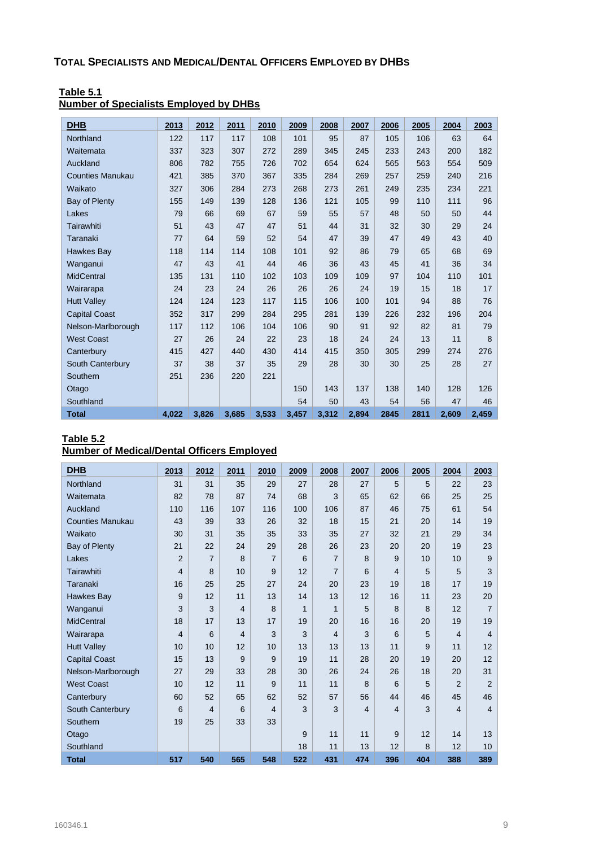| <b>DHB</b>              | 2013  | 2012  | 2011  | 2010  | 2009  | 2008  | 2007  | 2006 | 2005 | 2004  | 2003  |
|-------------------------|-------|-------|-------|-------|-------|-------|-------|------|------|-------|-------|
| Northland               | 122   | 117   | 117   | 108   | 101   | 95    | 87    | 105  | 106  | 63    | 64    |
| Waitemata               | 337   | 323   | 307   | 272   | 289   | 345   | 245   | 233  | 243  | 200   | 182   |
| Auckland                | 806   | 782   | 755   | 726   | 702   | 654   | 624   | 565  | 563  | 554   | 509   |
| <b>Counties Manukau</b> | 421   | 385   | 370   | 367   | 335   | 284   | 269   | 257  | 259  | 240   | 216   |
| Waikato                 | 327   | 306   | 284   | 273   | 268   | 273   | 261   | 249  | 235  | 234   | 221   |
| Bay of Plenty           | 155   | 149   | 139   | 128   | 136   | 121   | 105   | 99   | 110  | 111   | 96    |
| Lakes                   | 79    | 66    | 69    | 67    | 59    | 55    | 57    | 48   | 50   | 50    | 44    |
| Tairawhiti              | 51    | 43    | 47    | 47    | 51    | 44    | 31    | 32   | 30   | 29    | 24    |
| Taranaki                | 77    | 64    | 59    | 52    | 54    | 47    | 39    | 47   | 49   | 43    | 40    |
| Hawkes Bay              | 118   | 114   | 114   | 108   | 101   | 92    | 86    | 79   | 65   | 68    | 69    |
| Wanganui                | 47    | 43    | 41    | 44    | 46    | 36    | 43    | 45   | 41   | 36    | 34    |
| <b>MidCentral</b>       | 135   | 131   | 110   | 102   | 103   | 109   | 109   | 97   | 104  | 110   | 101   |
| Wairarapa               | 24    | 23    | 24    | 26    | 26    | 26    | 24    | 19   | 15   | 18    | 17    |
| <b>Hutt Valley</b>      | 124   | 124   | 123   | 117   | 115   | 106   | 100   | 101  | 94   | 88    | 76    |
| <b>Capital Coast</b>    | 352   | 317   | 299   | 284   | 295   | 281   | 139   | 226  | 232  | 196   | 204   |
| Nelson-Marlborough      | 117   | 112   | 106   | 104   | 106   | 90    | 91    | 92   | 82   | 81    | 79    |
| <b>West Coast</b>       | 27    | 26    | 24    | 22    | 23    | 18    | 24    | 24   | 13   | 11    | 8     |
| Canterbury              | 415   | 427   | 440   | 430   | 414   | 415   | 350   | 305  | 299  | 274   | 276   |
| South Canterbury        | 37    | 38    | 37    | 35    | 29    | 28    | 30    | 30   | 25   | 28    | 27    |
| Southern                | 251   | 236   | 220   | 221   |       |       |       |      |      |       |       |
| Otago                   |       |       |       |       | 150   | 143   | 137   | 138  | 140  | 128   | 126   |
| Southland               |       |       |       |       | 54    | 50    | 43    | 54   | 56   | 47    | 46    |
| <b>Total</b>            | 4,022 | 3,826 | 3,685 | 3,533 | 3,457 | 3,312 | 2,894 | 2845 | 2811 | 2.609 | 2,459 |

#### **Table 5.1 Number of Specialists Employed by DHBs**

#### **Table 5.2 Number of Medical/Dental Officers Employed**

| <b>DHB</b>              | 2013           | 2012           | 2011           | 2010           | 2009 | 2008           | 2007           | 2006 | 2005 | 2004           | 2003           |
|-------------------------|----------------|----------------|----------------|----------------|------|----------------|----------------|------|------|----------------|----------------|
| Northland               | 31             | 31             | 35             | 29             | 27   | 28             | 27             | 5    | 5    | 22             | 23             |
| Waitemata               | 82             | 78             | 87             | 74             | 68   | 3              | 65             | 62   | 66   | 25             | 25             |
| Auckland                | 110            | 116            | 107            | 116            | 100  | 106            | 87             | 46   | 75   | 61             | 54             |
| <b>Counties Manukau</b> | 43             | 39             | 33             | 26             | 32   | 18             | 15             | 21   | 20   | 14             | 19             |
| Waikato                 | 30             | 31             | 35             | 35             | 33   | 35             | 27             | 32   | 21   | 29             | 34             |
| Bay of Plenty           | 21             | 22             | 24             | 29             | 28   | 26             | 23             | 20   | 20   | 19             | 23             |
| Lakes                   | $\overline{2}$ | $\overline{7}$ | 8              | $\overline{7}$ | 6    | $\overline{7}$ | 8              | 9    | 10   | 10             | 9              |
| Tairawhiti              | $\overline{4}$ | 8              | 10             | 9              | 12   | 7              | 6              | 4    | 5    | 5              | 3              |
| Taranaki                | 16             | 25             | 25             | 27             | 24   | 20             | 23             | 19   | 18   | 17             | 19             |
| <b>Hawkes Bay</b>       | 9              | 12             | 11             | 13             | 14   | 13             | 12             | 16   | 11   | 23             | 20             |
| Wanganui                | 3              | 3              | $\overline{4}$ | 8              | 1    | 1              | 5              | 8    | 8    | 12             | $\overline{7}$ |
| <b>MidCentral</b>       | 18             | 17             | 13             | 17             | 19   | 20             | 16             | 16   | 20   | 19             | 19             |
| Wairarapa               | $\overline{4}$ | 6              | 4              | 3              | 3    | 4              | 3              | 6    | 5    | 4              | $\overline{4}$ |
| <b>Hutt Valley</b>      | 10             | 10             | 12             | 10             | 13   | 13             | 13             | 11   | 9    | 11             | 12             |
| <b>Capital Coast</b>    | 15             | 13             | 9              | 9              | 19   | 11             | 28             | 20   | 19   | 20             | 12             |
| Nelson-Marlborough      | 27             | 29             | 33             | 28             | 30   | 26             | 24             | 26   | 18   | 20             | 31             |
| <b>West Coast</b>       | 10             | 12             | 11             | 9              | 11   | 11             | 8              | 6    | 5    | $\overline{2}$ | 2              |
| Canterbury              | 60             | 52             | 65             | 62             | 52   | 57             | 56             | 44   | 46   | 45             | 46             |
| South Canterbury        | 6              | $\overline{4}$ | 6              | $\overline{4}$ | 3    | 3              | $\overline{4}$ | 4    | 3    | 4              | $\overline{4}$ |
| Southern                | 19             | 25             | 33             | 33             |      |                |                |      |      |                |                |
| Otago                   |                |                |                |                | 9    | 11             | 11             | 9    | 12   | 14             | 13             |
| Southland               |                |                |                |                | 18   | 11             | 13             | 12   | 8    | 12             | 10             |
| <b>Total</b>            | 517            | 540            | 565            | 548            | 522  | 431            | 474            | 396  | 404  | 388            | 389            |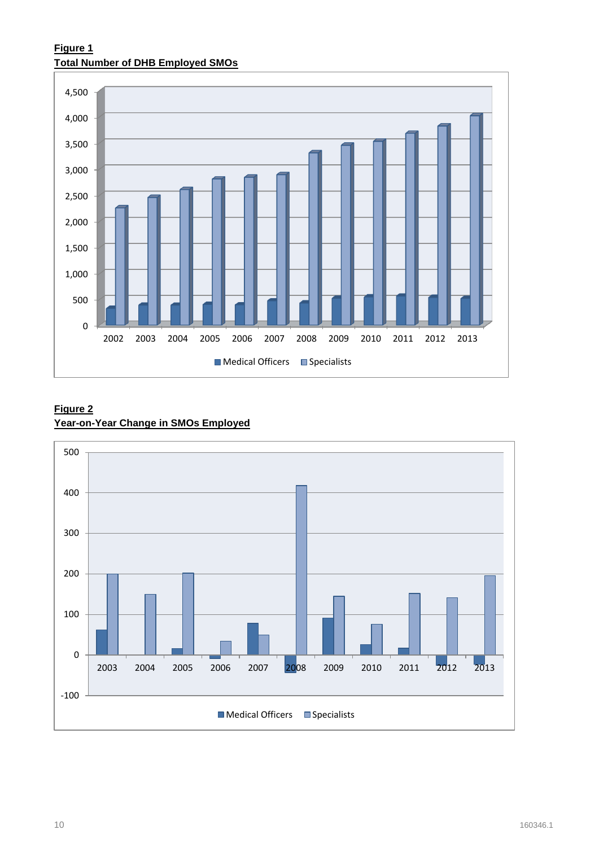# **Figure 1 Total Number of DHB Employed SMOs**



# **Figure 2 Year-on-Year Change in SMOs Employed**